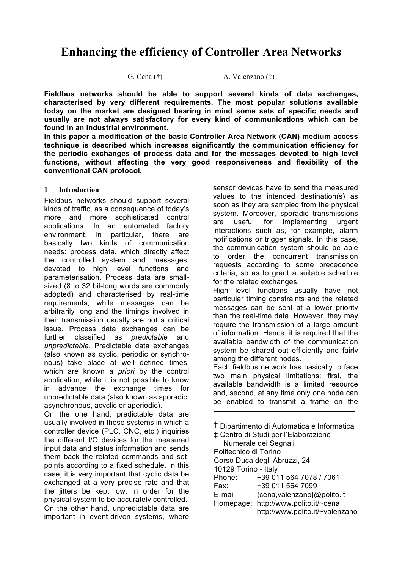# **Enhancing the efficiency of Controller Area Networks**

G. Cena  $(\dagger)$  A. Valenzano  $(\dagger)$ 

**Fieldbus networks should be able to support several kinds of data exchanges, characterised by very different requirements. The most popular solutions available today on the market are designed bearing in mind some sets of specific needs and usually are not always satisfactory for every kind of communications which can be found in an industrial environment.**

**In this paper a modification of the basic Controller Area Network (CAN) medium access technique is described which increases significantly the communication efficiency for the periodic exchanges of process data and for the messages devoted to high level functions, without affecting the very good responsiveness and flexibility of the conventional CAN protocol.**

#### **1 Introduction**

Fieldbus networks should support several kinds of traffic, as a consequence of today's more and more sophisticated control applications. In an automated factory environment, in particular, there are basically two kinds of communication needs: process data, which directly affect the controlled system and messages, devoted to high level functions and parameterisation. Process data are smallsized (8 to 32 bit-long words are commonly adopted) and characterised by real-time requirements, while messages can be arbitrarily long and the timings involved in their transmission usually are not a critical issue. Process data exchanges can be further classified as *predictable* and *unpredictable*. Predictable data exchanges (also known as cyclic, periodic or synchronous) take place at well defined times, which are known *a priori* by the control application, while it is not possible to know in advance the exchange times for unpredictable data (also known as sporadic, asynchronous, acyclic or aperiodic).

On the one hand, predictable data are usually involved in those systems in which a controller device (PLC, CNC, etc.) inquiries the different I/O devices for the measured input data and status information and sends them back the related commands and setpoints according to a fixed schedule. In this case, it is very important that cyclic data be exchanged at a very precise rate and that the jitters be kept low, in order for the physical system to be accurately controlled. On the other hand, unpredictable data are important in event-driven systems, where

sensor devices have to send the measured values to the intended destination(s) as soon as they are sampled from the physical system. Moreover, sporadic transmissions are useful for implementing urgent interactions such as, for example, alarm notifications or trigger signals. In this case, the communication system should be able to order the concurrent transmission requests according to some precedence criteria, so as to grant a suitable schedule for the related exchanges.

High level functions usually have not particular timing constraints and the related messages can be sent at a lower priority than the real-time data. However, they may require the transmission of a large amount of information. Hence, it is required that the available bandwidth of the communication system be shared out efficiently and fairly among the different nodes.

Each fieldbus network has basically to face two main physical limitations: first, the available bandwidth is a limited resource and, second, at any time only one node can be enabled to transmit a frame on the

| <sup>†</sup> Dipartimento di Automatica e Informatica |                                 |  |  |  |
|-------------------------------------------------------|---------------------------------|--|--|--|
| ± Centro di Studi per l'Elaborazione                  |                                 |  |  |  |
|                                                       | Numerale dei Segnali            |  |  |  |
| Politecnico di Torino                                 |                                 |  |  |  |
| Corso Duca degli Abruzzi, 24                          |                                 |  |  |  |
| 10129 Torino - Italy                                  |                                 |  |  |  |
| Phone:                                                | +39 011 564 7078 / 7061         |  |  |  |
| Fax:                                                  | +39 011 564 7099                |  |  |  |
| E-mail:                                               | {cena, valenzano}@polito.it     |  |  |  |
| Homepage:                                             | http://www.polito.it/~cena      |  |  |  |
|                                                       | http://www.polito.it/~valenzano |  |  |  |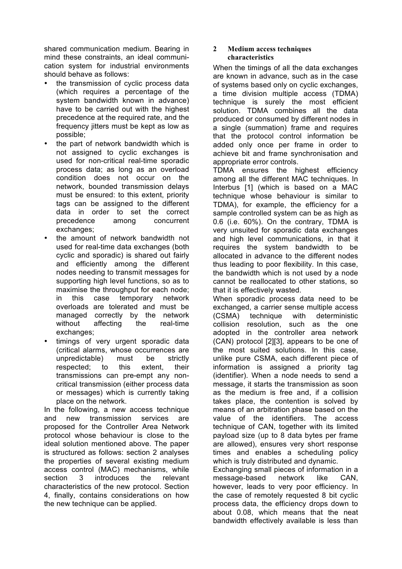shared communication medium. Bearing in mind these constraints, an ideal communication system for industrial environments should behave as follows:

- the transmission of cyclic process data (which requires a percentage of the system bandwidth known in advance) have to be carried out with the highest precedence at the required rate, and the frequency jitters must be kept as low as possible;
- the part of network bandwidth which is not assigned to cyclic exchanges is used for non-critical real-time sporadic process data; as long as an overload condition does not occur on the network, bounded transmission delays must be ensured: to this extent, priority tags can be assigned to the different data in order to set the correct precedence among concurrent exchanges;
- the amount of network bandwidth not used for real-time data exchanges (both cyclic and sporadic) is shared out fairly and efficiently among the different nodes needing to transmit messages for supporting high level functions, so as to maximise the throughput for each node; in this case temporary network overloads are tolerated and must be managed correctly by the network without affecting the real-time exchanges;
- timings of very urgent sporadic data (critical alarms, whose occurrences are unpredictable) must be strictly respected; to this extent, their transmissions can pre-empt any noncritical transmission (either process data or messages) which is currently taking place on the network.

In the following, a new access technique and new transmission services are proposed for the Controller Area Network protocol whose behaviour is close to the ideal solution mentioned above. The paper is structured as follows: section 2 analyses the properties of several existing medium access control (MAC) mechanisms, while section 3 introduces the relevant characteristics of the new protocol. Section 4, finally, contains considerations on how the new technique can be applied.

#### **2 Medium access techniques characteristics**

When the timings of all the data exchanges are known in advance, such as in the case of systems based only on cyclic exchanges, a time division multiple access (TDMA) technique is surely the most efficient solution. TDMA combines all the data produced or consumed by different nodes in a single (summation) frame and requires that the protocol control information be added only once per frame in order to achieve bit and frame synchronisation and appropriate error controls.

TDMA ensures the highest efficiency among all the different MAC techniques. In Interbus [1] (which is based on a MAC technique whose behaviour is similar to TDMA), for example, the efficiency for a sample controlled system can be as high as 0.6 (i.e. 60%). On the contrary, TDMA is very unsuited for sporadic data exchanges and high level communications, in that it requires the system bandwidth to be allocated in advance to the different nodes thus leading to poor flexibility. In this case, the bandwidth which is not used by a node cannot be reallocated to other stations, so that it is effectively wasted.

When sporadic process data need to be exchanged, a carrier sense multiple access (CSMA) technique with deterministic collision resolution, such as the one adopted in the controller area network (CAN) protocol [2][3], appears to be one of the most suited solutions. In this case, unlike pure CSMA, each different piece of information is assigned a priority tag (identifier). When a node needs to send a message, it starts the transmission as soon as the medium is free and, if a collision takes place, the contention is solved by means of an arbitration phase based on the value of the identifiers. The access technique of CAN, together with its limited payload size (up to 8 data bytes per frame are allowed), ensures very short response times and enables a scheduling policy which is truly distributed and dynamic.

Exchanging small pieces of information in a message-based network like CAN, however, leads to very poor efficiency. In the case of remotely requested 8 bit cyclic process data, the efficiency drops down to about 0.08, which means that the neat bandwidth effectively available is less than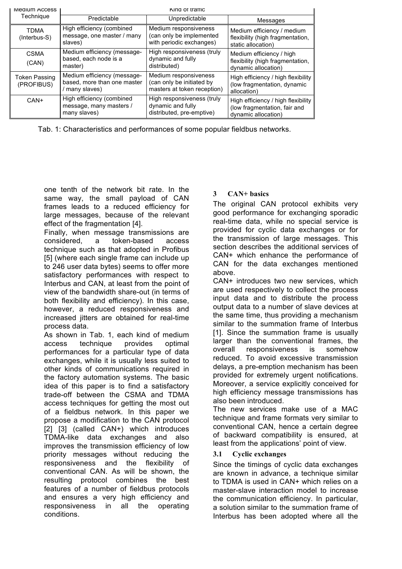| Medium Access                      | King of traffic                                                              |                                                                                   |                                                                                           |  |
|------------------------------------|------------------------------------------------------------------------------|-----------------------------------------------------------------------------------|-------------------------------------------------------------------------------------------|--|
| Technique                          | Predictable                                                                  | Unpredictable                                                                     | Messages                                                                                  |  |
| <b>TDMA</b><br>(Interbus-S)        | High efficiency (combined<br>message, one master / many<br>slaves)           | Medium responsiveness<br>(can only be implemented<br>with periodic exchanges)     | Medium efficiency / medium<br>flexibility (high fragmentation,<br>static allocation)      |  |
| <b>CSMA</b><br>(CAN)               | Medium efficiency (message-<br>based, each node is a<br>master)              | High responsiveness (truly<br>dynamic and fully<br>distributed)                   | Medium efficiency / high<br>flexibility (high fragmentation,<br>dynamic allocation)       |  |
| <b>Token Passing</b><br>(PROFIBUS) | Medium efficiency (message-<br>based, more than one master<br>/ many slaves) | Medium responsiveness<br>(can only be initiated by<br>masters at token reception) | High efficiency / high flexibility<br>(low fragmentation, dynamic<br>allocation)          |  |
| CAN+                               | High efficiency (combined<br>message, many masters /<br>many slaves)         | High responsiveness (truly<br>dynamic and fully<br>distributed, pre-emptive)      | High efficiency / high flexibility<br>(low fragmentation, fair and<br>dynamic allocation) |  |

Tab. 1: Characteristics and performances of some popular fieldbus networks.

one tenth of the network bit rate. In the same way, the small payload of CAN frames leads to a reduced efficiency for large messages, because of the relevant effect of the fragmentation [4].

Finally, when message transmissions are considered, a token-based access technique such as that adopted in Profibus [5] (where each single frame can include up to 246 user data bytes) seems to offer more satisfactory performances with respect to Interbus and CAN, at least from the point of view of the bandwidth share-out (in terms of both flexibility and efficiency). In this case, however, a reduced responsiveness and increased jitters are obtained for real-time process data.

As shown in Tab. 1, each kind of medium access technique provides optimal performances for a particular type of data exchanges, while it is usually less suited to other kinds of communications required in the factory automation systems. The basic idea of this paper is to find a satisfactory trade-off between the CSMA and TDMA access techniques for getting the most out of a fieldbus network. In this paper we propose a modification to the CAN protocol [2] [3] (called CAN+) which introduces TDMA-like data exchanges and also improves the transmission efficiency of low priority messages without reducing the responsiveness and the flexibility of conventional CAN. As will be shown, the resulting protocol combines the best features of a number of fieldbus protocols and ensures a very high efficiency and responsiveness in all the operating conditions.

# **3 CAN+ basics**

The original CAN protocol exhibits very good performance for exchanging sporadic real-time data, while no special service is provided for cyclic data exchanges or for the transmission of large messages. This section describes the additional services of CAN+ which enhance the performance of CAN for the data exchanges mentioned above.

CAN+ introduces two new services, which are used respectively to collect the process input data and to distribute the process output data to a number of slave devices at the same time, thus providing a mechanism similar to the summation frame of Interbus [1]. Since the summation frame is usually larger than the conventional frames, the overall responsiveness is somehow reduced. To avoid excessive transmission delays, a pre-emption mechanism has been provided for extremely urgent notifications. Moreover, a service explicitly conceived for high efficiency message transmissions has also been introduced.

The new services make use of a MAC technique and frame formats very similar to conventional CAN, hence a certain degree of backward compatibility is ensured, at least from the applications' point of view.

### **3.1 Cyclic exchanges**

Since the timings of cyclic data exchanges are known in advance, a technique similar to TDMA is used in CAN+ which relies on a master-slave interaction model to increase the communication efficiency. In particular, a solution similar to the summation frame of Interbus has been adopted where all the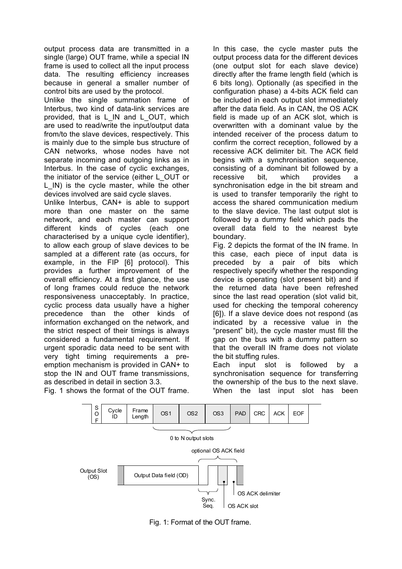output process data are transmitted in a single (large) OUT frame, while a special IN frame is used to collect all the input process data. The resulting efficiency increases because in general a smaller number of control bits are used by the protocol.

Unlike the single summation frame of Interbus, two kind of data-link services are provided, that is L\_IN and L\_OUT, which are used to read/write the input/output data from/to the slave devices, respectively. This is mainly due to the simple bus structure of CAN networks, whose nodes have not separate incoming and outgoing links as in Interbus. In the case of cyclic exchanges, the initiator of the service (either L\_OUT or L\_IN) is the cycle master, while the other devices involved are said cycle slaves.

Unlike Interbus, CAN+ is able to support more than one master on the same network, and each master can support different kinds of cycles (each one characterised by a unique cycle identifier), to allow each group of slave devices to be sampled at a different rate (as occurs, for example, in the FIP [6] protocol). This provides a further improvement of the overall efficiency. At a first glance, the use of long frames could reduce the network responsiveness unacceptably. In practice, cyclic process data usually have a higher precedence than the other kinds of information exchanged on the network, and the strict respect of their timings is always considered a fundamental requirement. If urgent sporadic data need to be sent with very tight timing requirements a preemption mechanism is provided in CAN+ to stop the IN and OUT frame transmissions, as described in detail in section 3.3. Fig. 1 shows the format of the OUT frame.

In this case, the cycle master puts the output process data for the different devices (one output slot for each slave device) directly after the frame length field (which is 6 bits long). Optionally (as specified in the configuration phase) a 4-bits ACK field can be included in each output slot immediately after the data field. As in CAN, the OS ACK field is made up of an ACK slot, which is overwritten with a dominant value by the intended receiver of the process datum to confirm the correct reception, followed by a recessive ACK delimiter bit. The ACK field begins with a synchronisation sequence, consisting of a dominant bit followed by a recessive bit, which provides a synchronisation edge in the bit stream and is used to transfer temporarily the right to access the shared communication medium to the slave device. The last output slot is followed by a dummy field which pads the overall data field to the nearest byte boundary.

Fig. 2 depicts the format of the IN frame. In this case, each piece of input data is preceded by a pair of bits which respectively specify whether the responding device is operating (slot present bit) and if the returned data have been refreshed since the last read operation (slot valid bit, used for checking the temporal coherency [6]). If a slave device does not respond (as indicated by a recessive value in the "present" bit), the cycle master must fill the gap on the bus with a dummy pattern so that the overall IN frame does not violate the bit stuffing rules.

Each input slot is followed by a synchronisation sequence for transferring the ownership of the bus to the next slave. When the last input slot has been



Fig. 1: Format of the OUT frame.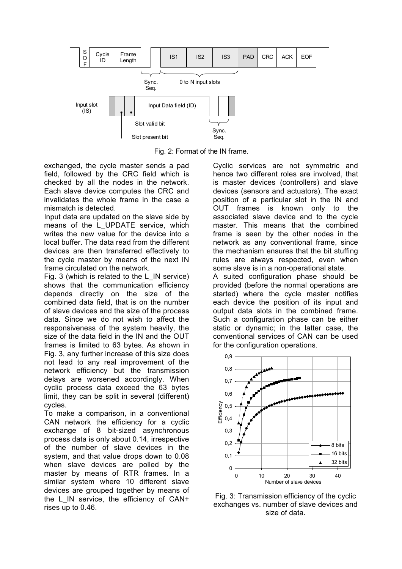

Fig. 2: Format of the IN frame.

exchanged, the cycle master sends a pad field, followed by the CRC field which is checked by all the nodes in the network. Each slave device computes the CRC and invalidates the whole frame in the case a mismatch is detected.

Input data are updated on the slave side by means of the L UPDATE service, which writes the new value for the device into a local buffer. The data read from the different devices are then transferred effectively to the cycle master by means of the next IN frame circulated on the network.

Fig. 3 (which is related to the L\_IN service) shows that the communication efficiency depends directly on the size of the combined data field, that is on the number of slave devices and the size of the process data. Since we do not wish to affect the responsiveness of the system heavily, the size of the data field in the IN and the OUT frames is limited to 63 bytes. As shown in Fig. 3, any further increase of this size does not lead to any real improvement of the network efficiency but the transmission delays are worsened accordingly. When cyclic process data exceed the 63 bytes limit, they can be split in several (different) cycles.

To make a comparison, in a conventional CAN network the efficiency for a cyclic exchange of 8 bit-sized asynchronous process data is only about 0.14, irrespective of the number of slave devices in the system, and that value drops down to 0.08 when slave devices are polled by the master by means of RTR frames. In a similar system where 10 different slave devices are grouped together by means of the L\_IN service, the efficiency of CAN+ rises up to 0.46.

Cyclic services are not symmetric and hence two different roles are involved, that is master devices (controllers) and slave devices (sensors and actuators). The exact position of a particular slot in the IN and OUT frames is known only to the associated slave device and to the cycle master. This means that the combined frame is seen by the other nodes in the network as any conventional frame, since the mechanism ensures that the bit stuffing rules are always respected, even when some slave is in a non-operational state.

A suited configuration phase should be provided (before the normal operations are started) where the cycle master notifies each device the position of its input and output data slots in the combined frame. Such a configuration phase can be either static or dynamic; in the latter case, the conventional services of CAN can be used for the configuration operations.



Fig. 3: Transmission efficiency of the cyclic exchanges vs. number of slave devices and size of data.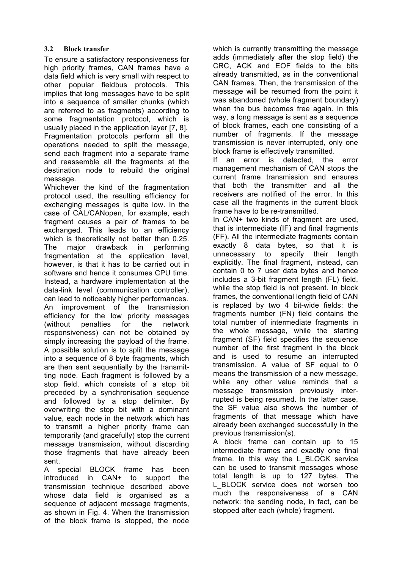# **3.2 Block transfer**

To ensure a satisfactory responsiveness for high priority frames, CAN frames have a data field which is very small with respect to other popular fieldbus protocols. This implies that long messages have to be split into a sequence of smaller chunks (which are referred to as fragments) according to some fragmentation protocol, which is usually placed in the application layer [7, 8]. Fragmentation protocols perform all the operations needed to split the message, send each fragment into a separate frame and reassemble all the fragments at the destination node to rebuild the original message.

Whichever the kind of the fragmentation protocol used, the resulting efficiency for exchanging messages is quite low. In the case of CAL/CANopen, for example, each fragment causes a pair of frames to be exchanged. This leads to an efficiency which is theoretically not better than 0.25. The major drawback in performing fragmentation at the application level, however, is that it has to be carried out in software and hence it consumes CPU time. Instead, a hardware implementation at the data-link level (communication controller), can lead to noticeably higher performances. An improvement of the transmission efficiency for the low priority messages (without penalties for the network responsiveness) can not be obtained by simply increasing the payload of the frame. A possible solution is to split the message into a sequence of 8 byte fragments, which are then sent sequentially by the transmitting node. Each fragment is followed by a stop field, which consists of a stop bit preceded by a synchronisation sequence and followed by a stop delimiter. By overwriting the stop bit with a dominant value, each node in the network which has to transmit a higher priority frame can temporarily (and gracefully) stop the current message transmission, without discarding those fragments that have already been sent.

A special BLOCK frame has been introduced in CAN+ to support the transmission technique described above whose data field is organised as a sequence of adjacent message fragments, as shown in Fig. 4. When the transmission of the block frame is stopped, the node

which is currently transmitting the message adds (immediately after the stop field) the CRC, ACK and EOF fields to the bits already transmitted, as in the conventional CAN frames. Then, the transmission of the message will be resumed from the point it was abandoned (whole fragment boundary) when the bus becomes free again. In this way, a long message is sent as a sequence of block frames, each one consisting of a number of fragments. If the message transmission is never interrupted, only one block frame is effectively transmitted.

If an error is detected, the error management mechanism of CAN stops the current frame transmission and ensures that both the transmitter and all the receivers are notified of the error. In this case all the fragments in the current block frame have to be re-transmitted.

In CAN+ two kinds of fragment are used, that is intermediate (IF) and final fragments (FF). All the intermediate fragments contain exactly 8 data bytes, so that it is unnecessary to specify their length explicitly. The final fragment, instead, can contain 0 to 7 user data bytes and hence includes a 3-bit fragment length (FL) field, while the stop field is not present. In block frames, the conventional length field of CAN is replaced by two 4 bit-wide fields: the fragments number (FN) field contains the total number of intermediate fragments in the whole message, while the starting fragment (SF) field specifies the sequence number of the first fragment in the block and is used to resume an interrupted transmission. A value of SF equal to 0 means the transmission of a new message, while any other value reminds that a message transmission previously interrupted is being resumed. In the latter case, the SF value also shows the number of fragments of that message which have already been exchanged successfully in the previous transmission(s).

A block frame can contain up to 15 intermediate frames and exactly one final frame. In this way the L\_BLOCK service can be used to transmit messages whose total length is up to 127 bytes. The L\_BLOCK service does not worsen too much the responsiveness of a CAN network: the sending node, in fact, can be stopped after each (whole) fragment.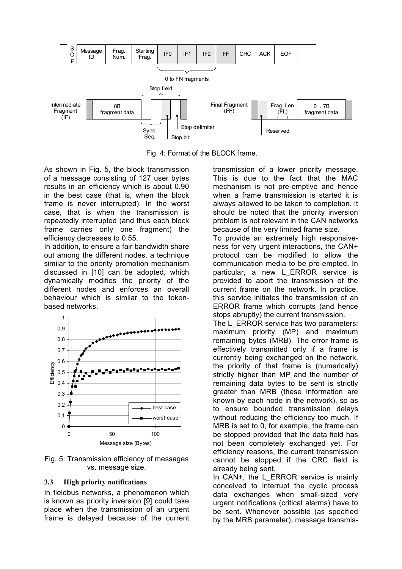

Fig. 4: Format of the BLOCK frame.

As shown in Fig. 5, the block transmission of a message consisting of 127 user bytes results in an efficiency which is about 0.90 in the best case (that is, when the block frame is never interrupted). In the worst case, that is when the transmission is repeatedly interrupted (and thus each block frame carries only one fragment) the efficiency decreases to 0.55.

In addition, to ensure a fair bandwidth share out among the different nodes, a technique similar to the priority promotion mechanism discussed in [10] can be adopted, which dynamically modifies the priority of the different nodes and enforces an overall behaviour which is similar to the tokenbased networks.



Fig. 5: Transmission efficiency of messages vs. message size.

#### **3.3 High priority notifications**

In fieldbus networks, a phenomenon which is known as priority inversion [9] could take place when the transmission of an urgent frame is delayed because of the current transmission of a lower priority message. This is due to the fact that the MAC mechanism is not pre-emptive and hence when a frame transmission is started it is always allowed to be taken to completion. It should be noted that the priority inversion problem is not relevant in the CAN networks because of the very limited frame size.

To provide an extremely high responsiveness for very urgent interactions, the CAN+ protocol can be modified to allow the communication media to be pre-empted. In particular, a new L\_ERROR service is provided to abort the transmission of the current frame on the network. In practice, this service initiates the transmission of an ERROR frame which corrupts (and hence stops abruptly) the current transmission.

The L\_ERROR service has two parameters: maximum priority (MP) and maximum remaining bytes (MRB). The error frame is effectively transmitted only if a frame is currently being exchanged on the network, the priority of that frame is (numerically) strictly higher than MP and the number of remaining data bytes to be sent is strictly greater than MRB (these information are known by each node in the network), so as to ensure bounded transmission delays without reducing the efficiency too much. If MRB is set to 0, for example, the frame can be stopped provided that the data field has not been completely exchanged yet. For efficiency reasons, the current transmission cannot be stopped if the CRC field is already being sent.

In CAN+, the L ERROR service is mainly conceived to interrupt the cyclic process data exchanges when small-sized very urgent notifications (critical alarms) have to be sent. Whenever possible (as specified by the MRB parameter), message transmis